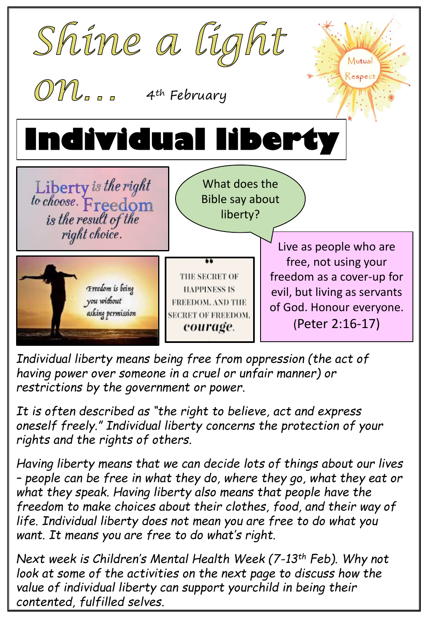

*Individual liberty means being free from oppression (the act of having power over someone in a cruel or unfair manner) or restrictions by the government or power.* 

*It is often described as "the right to believe, act and express oneself freely." Individual liberty concerns the protection of your rights and the rights of others.*

*Having liberty means that we can decide lots of things about our lives – people can be free in what they do, where they go, what they eat or what they speak. Having liberty also means that people have the freedom to make choices about their clothes, food, and their way of life. Individual liberty does not mean you are free to do what you want. It means you are free to do what's right.*

*Next week is Children's Mental Health Week (7-13th Feb). Why not*  look at some of the activities on the next page to discuss how the *value of individual liberty can support yourchild in being their contented, fulfilled selves.*